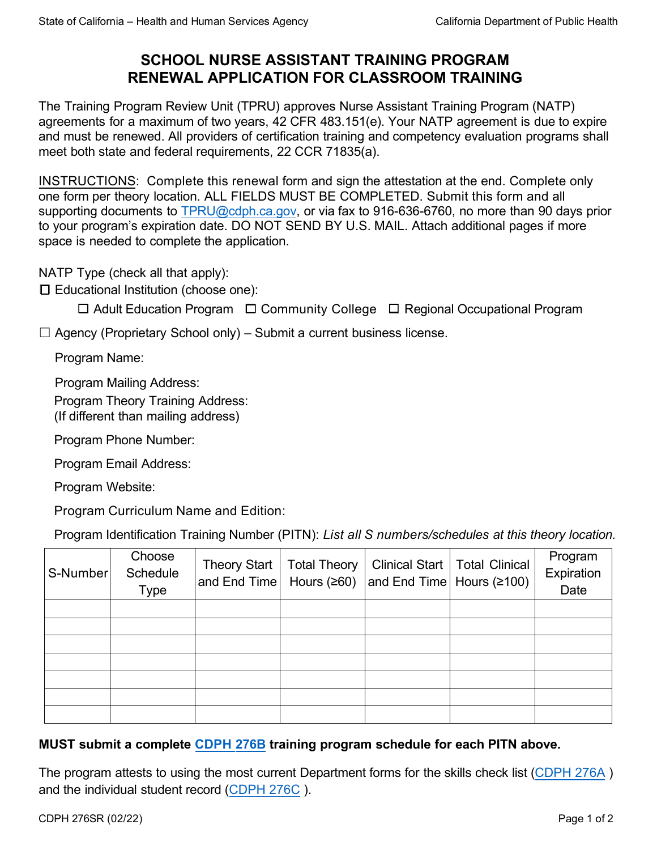# **SCHOOL NURSE ASSISTANT TRAINING PROGRAM RENEWAL APPLICATION FOR CLASSROOM TRAINING**

The Training Program Review Unit (TPRU) approves Nurse Assistant Training Program (NATP) agreements for a maximum of two years, 42 CFR 483.151(e). Your NATP agreement is due to expire and must be renewed. All providers of certification training and competency evaluation programs shall meet both state and federal requirements, 22 CCR 71835(a).

INSTRUCTIONS: Complete this renewal form and sign the attestation at the end. Complete only one form per theory location. ALL FIELDS MUST BE COMPLETED. Submit this form and all supporting documents t[o TPRU@cdph.ca.gov,](mailto:TPRU@cdph.ca.gov) or via fax to 916-636-6760, no more than 90 days prior to your program's expiration date. DO NOT SEND BY U.S. MAIL. Attach additional pages if more space is needed to complete the application.

NATP Type (check all that apply):

☐ Educational Institution (choose one):

☐ Adult Education Program ☐ Community College ☐ Regional Occupational Program

 $\Box$  Agency (Proprietary School only) – Submit a current business license.

Program Name:

Program Mailing Address:

Program Theory Training Address:

(If different than mailing address)

Program Phone Number:

Program Email Address:

Program Website:

Program Curriculum Name and Edition:

Program Identification Training Number (PITN): *List all S numbers/schedules at this theory location.*

| S-Number | Choose<br>Schedule<br><b>Type</b> | Theory Start<br>and End Time $\vert$ Hours ( $\geq 60$ ) | <b>Total Theory</b> | and End Time Hours $(≥100)$ | Clinical Start   Total Clinical | Program<br>Expiration<br>Date |
|----------|-----------------------------------|----------------------------------------------------------|---------------------|-----------------------------|---------------------------------|-------------------------------|
|          |                                   |                                                          |                     |                             |                                 |                               |
|          |                                   |                                                          |                     |                             |                                 |                               |
|          |                                   |                                                          |                     |                             |                                 |                               |
|          |                                   |                                                          |                     |                             |                                 |                               |
|          |                                   |                                                          |                     |                             |                                 |                               |
|          |                                   |                                                          |                     |                             |                                 |                               |
|          |                                   |                                                          |                     |                             |                                 |                               |

### **MUST submit a complete [CDPH 276B](https://www.cdph.ca.gov/CDPH%20Document%20Library/ControlledForms/cdph276b.pdf) training program schedule for each PITN above.**

The program attests to using the most current Department forms for the skills check list [\(CDPH 276A](https://www.cdph.ca.gov/CDPH%20Document%20Library/ControlledForms/cdph276a.pdf) ) and the individual student record ([CDPH 276C](https://www.cdph.ca.gov/CDPH%20Document%20Library/ControlledForms/cdph276c.pdf) ).